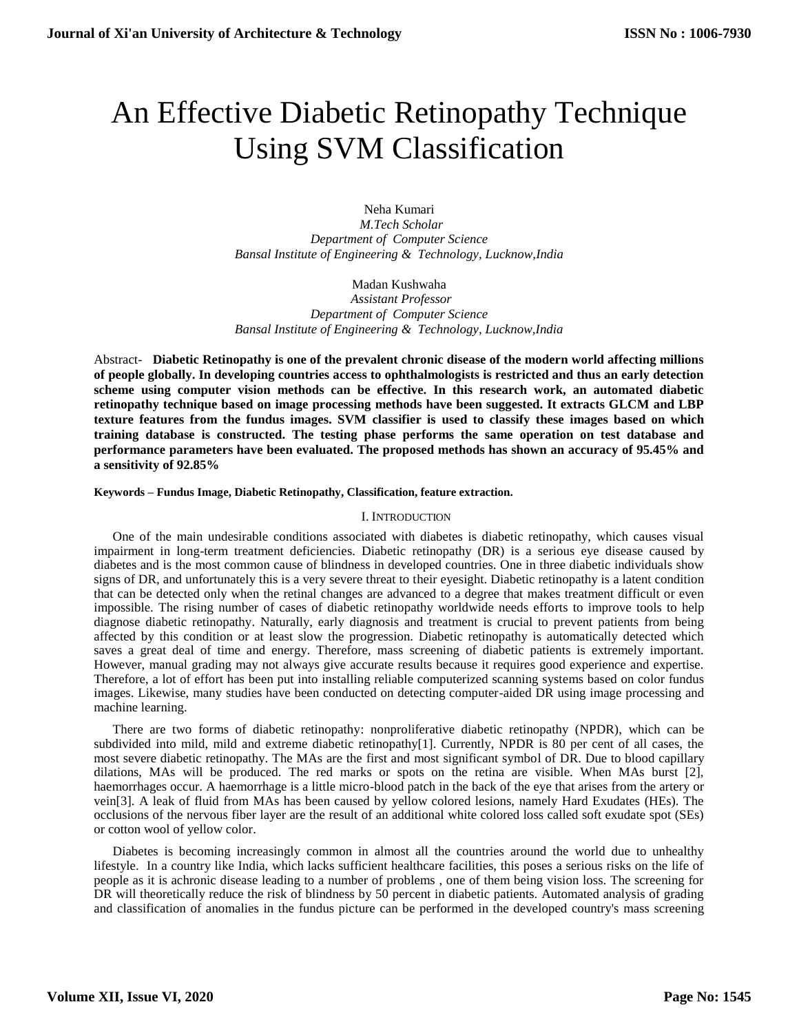# An Effective Diabetic Retinopathy Technique Using SVM Classification

Neha Kumari  *M.Tech Scholar Department of Computer Science Bansal Institute of Engineering & Technology, Lucknow,India*

Madan Kushwaha

 *Assistant Professor Department of Computer Science Bansal Institute of Engineering & Technology, Lucknow,India*

Abstract- **Diabetic Retinopathy is one of the prevalent chronic disease of the modern world affecting millions of people globally. In developing countries access to ophthalmologists is restricted and thus an early detection scheme using computer vision methods can be effective. In this research work, an automated diabetic retinopathy technique based on image processing methods have been suggested. It extracts GLCM and LBP texture features from the fundus images. SVM classifier is used to classify these images based on which training database is constructed. The testing phase performs the same operation on test database and performance parameters have been evaluated. The proposed methods has shown an accuracy of 95.45% and a sensitivity of 92.85%**

**Keywords – Fundus Image, Diabetic Retinopathy, Classification, feature extraction.**

## I. INTRODUCTION

One of the main undesirable conditions associated with diabetes is diabetic retinopathy, which causes visual impairment in long-term treatment deficiencies. Diabetic retinopathy (DR) is a serious eye disease caused by diabetes and is the most common cause of blindness in developed countries. One in three diabetic individuals show signs of DR, and unfortunately this is a very severe threat to their eyesight. Diabetic retinopathy is a latent condition that can be detected only when the retinal changes are advanced to a degree that makes treatment difficult or even impossible. The rising number of cases of diabetic retinopathy worldwide needs efforts to improve tools to help diagnose diabetic retinopathy. Naturally, early diagnosis and treatment is crucial to prevent patients from being affected by this condition or at least slow the progression. Diabetic retinopathy is automatically detected which saves a great deal of time and energy. Therefore, mass screening of diabetic patients is extremely important. However, manual grading may not always give accurate results because it requires good experience and expertise. Therefore, a lot of effort has been put into installing reliable computerized scanning systems based on color fundus images. Likewise, many studies have been conducted on detecting computer-aided DR using image processing and machine learning.

There are two forms of diabetic retinopathy: nonproliferative diabetic retinopathy (NPDR), which can be subdivided into mild, mild and extreme diabetic retinopathy[1]. Currently, NPDR is 80 per cent of all cases, the most severe diabetic retinopathy. The MAs are the first and most significant symbol of DR. Due to blood capillary dilations, MAs will be produced. The red marks or spots on the retina are visible. When MAs burst [2], haemorrhages occur. A haemorrhage is a little micro-blood patch in the back of the eye that arises from the artery or vein[3]. A leak of fluid from MAs has been caused by yellow colored lesions, namely Hard Exudates (HEs). The occlusions of the nervous fiber layer are the result of an additional white colored loss called soft exudate spot (SEs) or cotton wool of yellow color.

Diabetes is becoming increasingly common in almost all the countries around the world due to unhealthy lifestyle. In a country like India, which lacks sufficient healthcare facilities, this poses a serious risks on the life of people as it is achronic disease leading to a number of problems , one of them being vision loss. The screening for DR will theoretically reduce the risk of blindness by 50 percent in diabetic patients. Automated analysis of grading and classification of anomalies in the fundus picture can be performed in the developed country's mass screening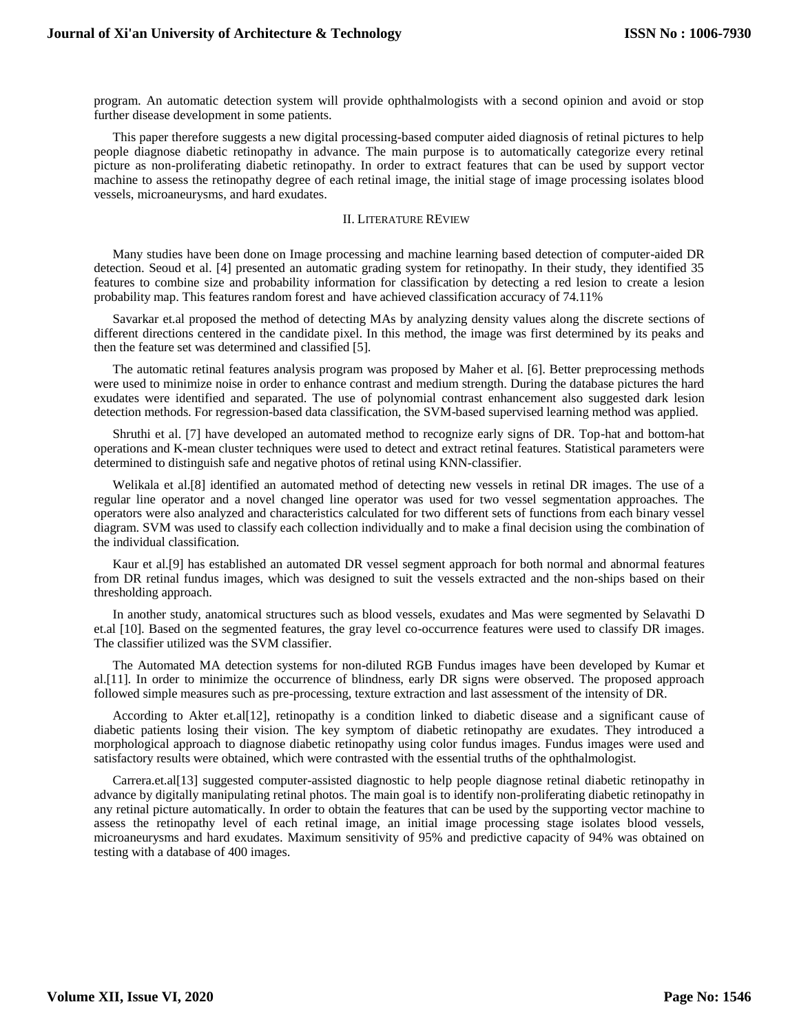program. An automatic detection system will provide ophthalmologists with a second opinion and avoid or stop further disease development in some patients.

This paper therefore suggests a new digital processing-based computer aided diagnosis of retinal pictures to help people diagnose diabetic retinopathy in advance. The main purpose is to automatically categorize every retinal picture as non-proliferating diabetic retinopathy. In order to extract features that can be used by support vector machine to assess the retinopathy degree of each retinal image, the initial stage of image processing isolates blood vessels, microaneurysms, and hard exudates.

#### II. LITERATURE REVIEW

Many studies have been done on Image processing and machine learning based detection of computer-aided DR detection. Seoud et al. [4] presented an automatic grading system for retinopathy. In their study, they identified 35 features to combine size and probability information for classification by detecting a red lesion to create a lesion probability map. This features random forest and have achieved classification accuracy of 74.11%

Savarkar et.al proposed the method of detecting MAs by analyzing density values along the discrete sections of different directions centered in the candidate pixel. In this method, the image was first determined by its peaks and then the feature set was determined and classified [5].

The automatic retinal features analysis program was proposed by Maher et al. [6]. Better preprocessing methods were used to minimize noise in order to enhance contrast and medium strength. During the database pictures the hard exudates were identified and separated. The use of polynomial contrast enhancement also suggested dark lesion detection methods. For regression-based data classification, the SVM-based supervised learning method was applied.

Shruthi et al. [7] have developed an automated method to recognize early signs of DR. Top-hat and bottom-hat operations and K-mean cluster techniques were used to detect and extract retinal features. Statistical parameters were determined to distinguish safe and negative photos of retinal using KNN-classifier.

Welikala et al.[8] identified an automated method of detecting new vessels in retinal DR images. The use of a regular line operator and a novel changed line operator was used for two vessel segmentation approaches. The operators were also analyzed and characteristics calculated for two different sets of functions from each binary vessel diagram. SVM was used to classify each collection individually and to make a final decision using the combination of the individual classification.

Kaur et al.[9] has established an automated DR vessel segment approach for both normal and abnormal features from DR retinal fundus images, which was designed to suit the vessels extracted and the non-ships based on their thresholding approach.

In another study, anatomical structures such as blood vessels, exudates and Mas were segmented by Selavathi D et.al [10]. Based on the segmented features, the gray level co-occurrence features were used to classify DR images. The classifier utilized was the SVM classifier.

The Automated MA detection systems for non-diluted RGB Fundus images have been developed by Kumar et al.[11]. In order to minimize the occurrence of blindness, early DR signs were observed. The proposed approach followed simple measures such as pre-processing, texture extraction and last assessment of the intensity of DR.

According to Akter et.al[12], retinopathy is a condition linked to diabetic disease and a significant cause of diabetic patients losing their vision. The key symptom of diabetic retinopathy are exudates. They introduced a morphological approach to diagnose diabetic retinopathy using color fundus images. Fundus images were used and satisfactory results were obtained, which were contrasted with the essential truths of the ophthalmologist.

Carrera.et.al[13] suggested computer-assisted diagnostic to help people diagnose retinal diabetic retinopathy in advance by digitally manipulating retinal photos. The main goal is to identify non-proliferating diabetic retinopathy in any retinal picture automatically. In order to obtain the features that can be used by the supporting vector machine to assess the retinopathy level of each retinal image, an initial image processing stage isolates blood vessels, microaneurysms and hard exudates. Maximum sensitivity of 95% and predictive capacity of 94% was obtained on testing with a database of 400 images.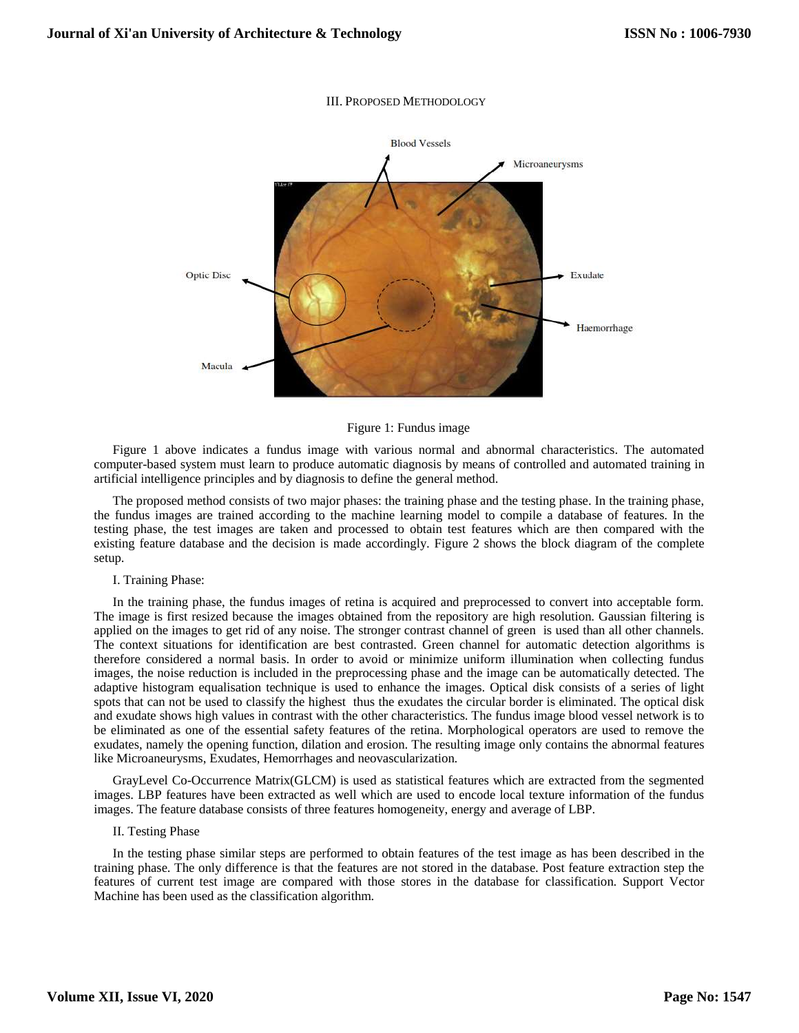## III. PROPOSED METHODOLOGY



Figure 1: Fundus image

Figure 1 above indicates a fundus image with various normal and abnormal characteristics. The automated computer-based system must learn to produce automatic diagnosis by means of controlled and automated training in artificial intelligence principles and by diagnosis to define the general method.

The proposed method consists of two major phases: the training phase and the testing phase. In the training phase, the fundus images are trained according to the machine learning model to compile a database of features. In the testing phase, the test images are taken and processed to obtain test features which are then compared with the existing feature database and the decision is made accordingly. Figure 2 shows the block diagram of the complete setup.

#### I. Training Phase:

In the training phase, the fundus images of retina is acquired and preprocessed to convert into acceptable form. The image is first resized because the images obtained from the repository are high resolution. Gaussian filtering is applied on the images to get rid of any noise. The stronger contrast channel of green is used than all other channels. The context situations for identification are best contrasted. Green channel for automatic detection algorithms is therefore considered a normal basis. In order to avoid or minimize uniform illumination when collecting fundus images, the noise reduction is included in the preprocessing phase and the image can be automatically detected. The adaptive histogram equalisation technique is used to enhance the images. Optical disk consists of a series of light spots that can not be used to classify the highest thus the exudates the circular border is eliminated. The optical disk and exudate shows high values in contrast with the other characteristics. The fundus image blood vessel network is to be eliminated as one of the essential safety features of the retina. Morphological operators are used to remove the exudates, namely the opening function, dilation and erosion. The resulting image only contains the abnormal features like Microaneurysms, Exudates, Hemorrhages and neovascularization.

GrayLevel Co-Occurrence Matrix(GLCM) is used as statistical features which are extracted from the segmented images. LBP features have been extracted as well which are used to encode local texture information of the fundus images. The feature database consists of three features homogeneity, energy and average of LBP.

## II. Testing Phase

In the testing phase similar steps are performed to obtain features of the test image as has been described in the training phase. The only difference is that the features are not stored in the database. Post feature extraction step the features of current test image are compared with those stores in the database for classification. Support Vector Machine has been used as the classification algorithm.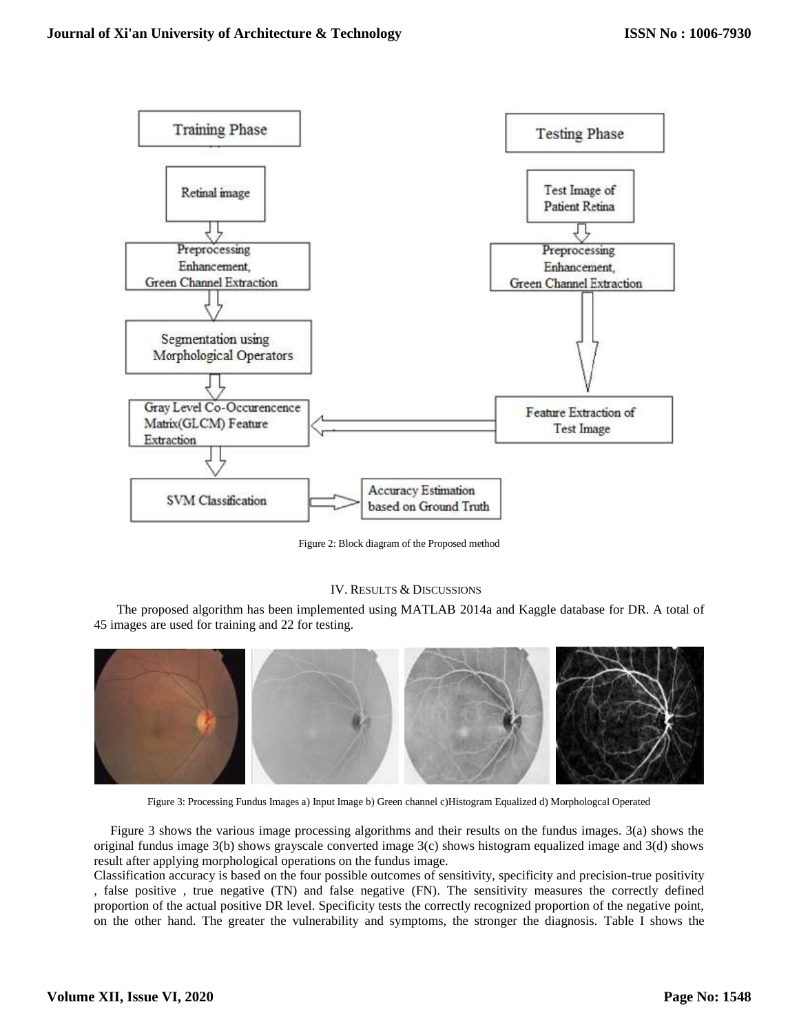

Figure 2: Block diagram of the Proposed method

# IV. RESULTS & DISCUSSIONS

 The proposed algorithm has been implemented using MATLAB 2014a and Kaggle database for DR. A total of 45 images are used for training and 22 for testing.



Figure 3: Processing Fundus Images a) Input Image b) Green channel c)Histogram Equalized d) Morphologcal Operated

 Figure 3 shows the various image processing algorithms and their results on the fundus images. 3(a) shows the original fundus image 3(b) shows grayscale converted image 3(c) shows histogram equalized image and 3(d) shows result after applying morphological operations on the fundus image.

Classification accuracy is based on the four possible outcomes of sensitivity, specificity and precision-true positivity , false positive , true negative (TN) and false negative (FN). The sensitivity measures the correctly defined proportion of the actual positive DR level. Specificity tests the correctly recognized proportion of the negative point, on the other hand. The greater the vulnerability and symptoms, the stronger the diagnosis. Table I shows the